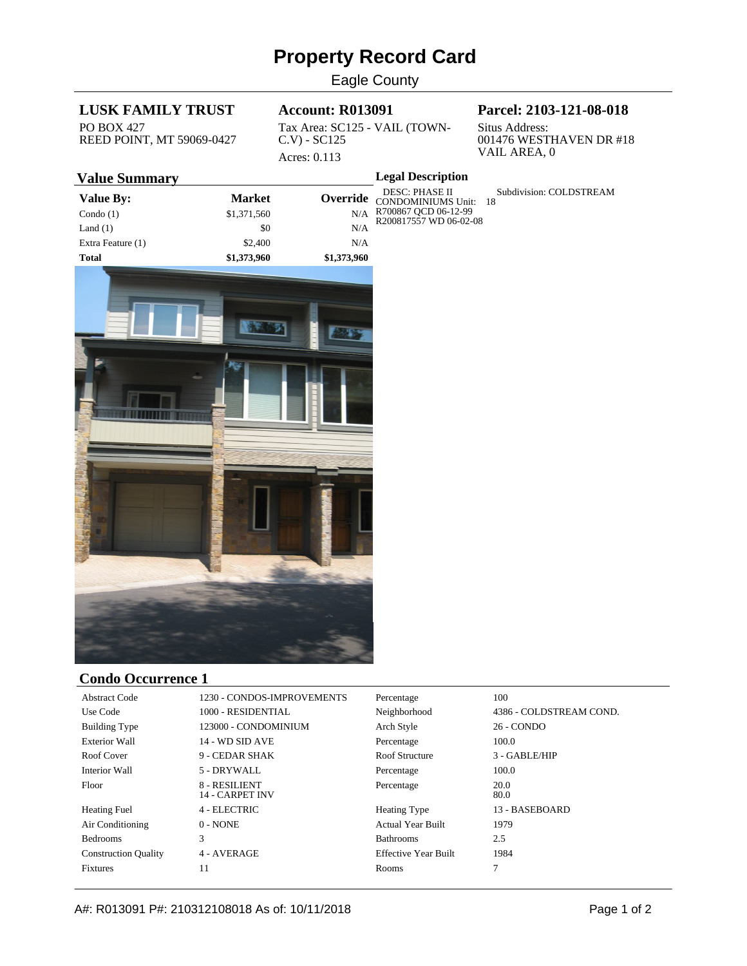# **Property Record Card**

Eagle County

## **LUSK FAMILY TRUST**

PO BOX 427 REED POINT, MT 59069-0427

#### **Account: R013091**

Tax Area: SC125 - VAIL (TOWN-C.V) - SC125 Acres: 0.113

**Legal Description**

# **Parcel: 2103-121-08-018**

Situs Address: 001476 WESTHAVEN DR #18 VAIL AREA, 0

Subdivision: COLDSTREAM

### **Value Summary**

| Value By:         | <b>Market</b> |             | DESC: PHASE II<br><b>Override</b> CONDOMINIUMS Unit: 18 |  |
|-------------------|---------------|-------------|---------------------------------------------------------|--|
| Condo $(1)$       | \$1,371,560   | N/A         | R700867 QCD 06-12-99<br>R200817557 WD 06-02-08          |  |
| Land $(1)$        | \$0           | N/A         |                                                         |  |
| Extra Feature (1) | \$2,400       | N/A         |                                                         |  |
| Total             | \$1,373,960   | \$1,373,960 |                                                         |  |



#### **Condo Occurrence 1**

| <b>Abstract Code</b>        | 1230 - CONDOS-IMPROVEMENTS              | Percentage                  | 100                     |
|-----------------------------|-----------------------------------------|-----------------------------|-------------------------|
| Use Code                    | 1000 - RESIDENTIAL                      | Neighborhood                | 4386 - COLDSTREAM COND. |
| <b>Building Type</b>        | 123000 - CONDOMINIUM                    | Arch Style                  | 26 - CONDO              |
| <b>Exterior Wall</b>        | 14 - WD SID AVE                         | Percentage                  | 100.0                   |
| Roof Cover                  | 9 - CEDAR SHAK                          | Roof Structure              | 3 - GABLE/HIP           |
| Interior Wall               | 5 - DRYWALL                             | Percentage                  | 100.0                   |
| Floor                       | 8 - RESILIENT<br><b>14 - CARPET INV</b> | Percentage                  | 20.0<br>80.0            |
| <b>Heating Fuel</b>         | 4 - ELECTRIC                            | <b>Heating Type</b>         | 13 - BASEBOARD          |
| Air Conditioning            | $0 - NONE$                              | <b>Actual Year Built</b>    | 1979                    |
| <b>Bedrooms</b>             | 3                                       | <b>Bathrooms</b>            | 2.5                     |
| <b>Construction Quality</b> | 4 - AVERAGE                             | <b>Effective Year Built</b> | 1984                    |
| <b>Fixtures</b>             | 11                                      | Rooms                       |                         |